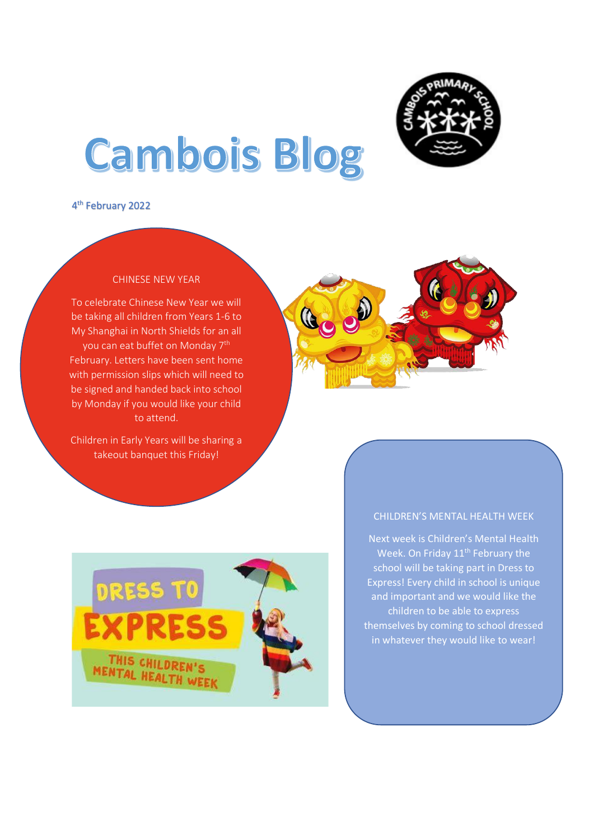

# **Cambois Blog**

4 th February 2022

#### CHINESE NEW YEAR

 be signed and handed back into school by Monday if you would like your child To celebrate Chinese New Year we will be taking all children from Years 1-6 to My Shanghai in North Shields for an all you can eat buffet on Monday 7<sup>th</sup> February. Letters have been sent home with permission slips which will need to to attend.

Children in Early Years will be sharing a takeout banquet this Friday!





#### CHILDREN'S MENTAL HEALTH WEEK

Next week is Children's Mental Health Week. On Friday 11<sup>th</sup> February the school will be taking part in Dress to Express! Every child in school is unique and important and we would like the children to be able to express themselves by coming to school dressed in whatever they would like to wear!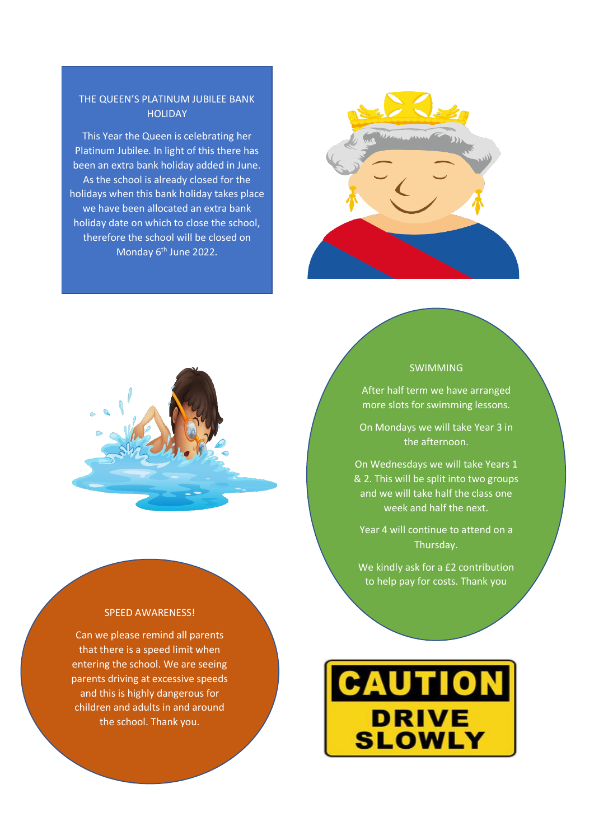#### THE QUEEN'S PLATINUM JUBILEE BANK **HOLIDAY**

This Year the Queen is celebrating her Platinum Jubilee. In light of this there has been an extra bank holiday added in June. As the school is already closed for the holidays when this bank holiday takes place we have been allocated an extra bank holiday date on which to close the school, therefore the school will be closed on Monday 6<sup>th</sup> June 2022.





#### SPEED AWARENESS!

Can we please remind all parents that there is a speed limit when entering the school. We are seeing parents driving at excessive speeds and this is highly dangerous for children and adults in and around the school. Thank you.

### SWIMMING

After half term we have arranged more slots for swimming lessons.

On Mondays we will take Year 3 in the afternoon.

On Wednesdays we will take Years 1 & 2. This will be split into two groups and we will take half the class one week and half the next.

Year 4 will continue to attend on a Thursday.

We kindly ask for a £2 contribution to help pay for costs. Thank you